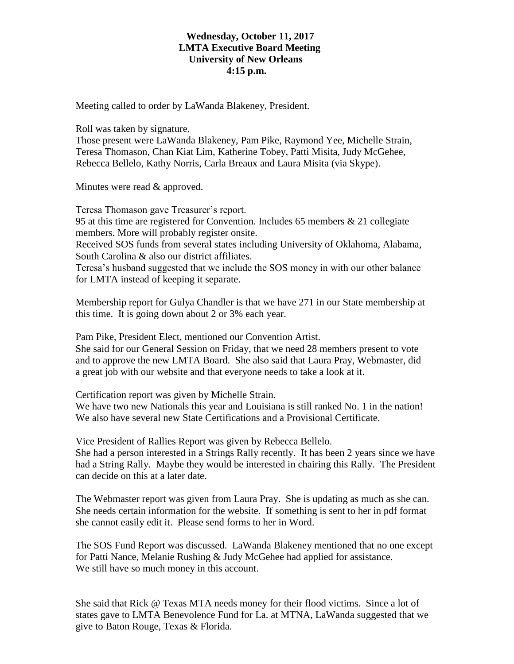## **Wednesday, October 11, 2017 LMTA Executive Board Meeting University of New Orleans 4:15 p.m.**

Meeting called to order by LaWanda Blakeney, President.

Roll was taken by signature.

Those present were LaWanda Blakeney, Pam Pike, Raymond Yee, Michelle Strain, Teresa Thomason, Chan Kiat Lim, Katherine Tobey, Patti Misita, Judy McGehee, Rebecca Bellelo, Kathy Norris, Carla Breaux and Laura Misita (via Skype).

Minutes were read & approved.

Teresa Thomason gave Treasurer's report. 95 at this time are registered for Convention. Includes 65 members & 21 collegiate members. More will probably register onsite. Received SOS funds from several states including University of Oklahoma, Alabama, South Carolina & also our district affiliates.

Teresa's husband suggested that we include the SOS money in with our other balance for LMTA instead of keeping it separate.

Membership report for Gulya Chandler is that we have 271 in our State membership at this time. It is going down about 2 or 3% each year.

Pam Pike, President Elect, mentioned our Convention Artist.

She said for our General Session on Friday, that we need 28 members present to vote and to approve the new LMTA Board. She also said that Laura Pray, Webmaster, did a great job with our website and that everyone needs to take a look at it.

Certification report was given by Michelle Strain.

We have two new Nationals this year and Louisiana is still ranked No. 1 in the nation! We also have several new State Certifications and a Provisional Certificate.

Vice President of Rallies Report was given by Rebecca Bellelo.

She had a person interested in a Strings Rally recently. It has been 2 years since we have had a String Rally. Maybe they would be interested in chairing this Rally. The President can decide on this at a later date.

The Webmaster report was given from Laura Pray. She is updating as much as she can. She needs certain information for the website. If something is sent to her in pdf format she cannot easily edit it. Please send forms to her in Word.

The SOS Fund Report was discussed. LaWanda Blakeney mentioned that no one except for Patti Nance, Melanie Rushing & Judy McGehee had applied for assistance. We still have so much money in this account.

She said that Rick @ Texas MTA needs money for their flood victims. Since a lot of states gave to LMTA Benevolence Fund for La. at MTNA, LaWanda suggested that we give to Baton Rouge, Texas & Florida.